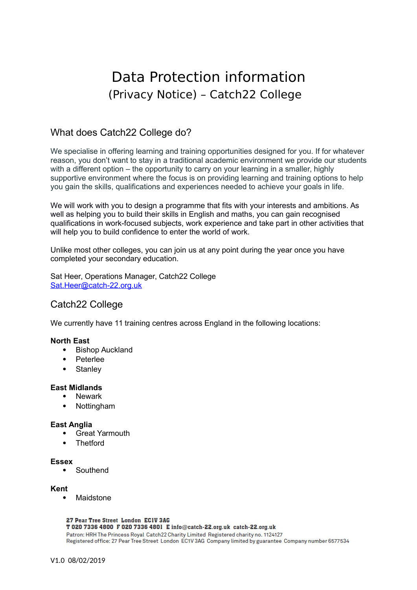# Data Protection information (Privacy Notice) – Catch22 College

# What does Catch22 College do?

We specialise in offering learning and training opportunities designed for you. If for whatever reason, you don't want to stay in a traditional academic environment we provide our students with a different option – the opportunity to carry on your learning in a smaller, highly supportive environment where the focus is on providing learning and training options to help you gain the skills, qualifications and experiences needed to achieve your goals in life.

We will work with you to design a programme that fits with your interests and ambitions. As well as helping you to build their skills in English and maths, you can gain recognised qualifications in work-focused subjects, work experience and take part in other activities that will help you to build confidence to enter the world of work.

Unlike most other colleges, you can join us at any point during the year once you have completed your secondary education.

Sat Heer, Operations Manager, Catch22 College [Sat.Heer@catch-22.org.uk](mailto:Sat.Heer@catch-22.org.uk)

## Catch22 College

We currently have 11 training centres across England in the following locations:

### **North East**

- Bishop Auckland
- Peterlee
- Stanley

#### **East Midlands**

- Newark
- Nottingham

#### **East Anglia**

- Great Yarmouth
- **Thetford**

#### **Essex**

• Southend

#### **Kent**

Maidstone

#### 27 Pear Tree Street London ECIV 3AG

T 020 7336 4800 F 020 7336 4801 E info@catch-22.org.uk catch-22.org.uk Patron: HRH The Princess Royal Catch22 Charity Limited Registered charity no. 1124127 Registered office: 27 Pear Tree Street London EC1V 3AG Company limited by guarantee Company number 6577534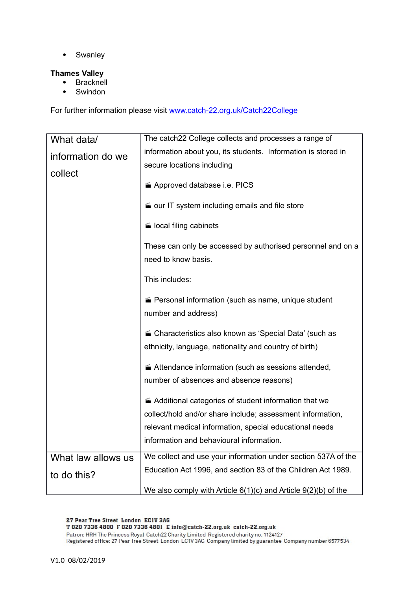• Swanley

#### **Thames Valley**

- Bracknell
- Swindon

For further information please visit [www.catch-22.org.uk/Catch22College](http://www.catch-22.org.uk/Catch22College)

| What data/         | The catch22 College collects and processes a range of                              |
|--------------------|------------------------------------------------------------------------------------|
| information do we  | information about you, its students. Information is stored in                      |
|                    | secure locations including                                                         |
| collect            | Approved database i.e. PICS                                                        |
|                    | our IT system including emails and file store                                      |
|                    | local filing cabinets                                                              |
|                    | These can only be accessed by authorised personnel and on a<br>need to know basis. |
|                    | This includes:                                                                     |
|                    | Personal information (such as name, unique student<br>number and address)          |
|                    | ■ Characteristics also known as 'Special Data' (such as                            |
|                    | ethnicity, language, nationality and country of birth)                             |
|                    | ■ Attendance information (such as sessions attended,                               |
|                    | number of absences and absence reasons)                                            |
|                    | Additional categories of student information that we                               |
|                    | collect/hold and/or share include; assessment information,                         |
|                    | relevant medical information, special educational needs                            |
|                    | information and behavioural information.                                           |
| What law allows us | We collect and use your information under section 537A of the                      |
| to do this?        | Education Act 1996, and section 83 of the Children Act 1989.                       |
|                    | We also comply with Article $6(1)(c)$ and Article $9(2)(b)$ of the                 |

#### 27 Pear Tree Street London ECIV 3AG

T 020 7336 4800 F 020 7336 4801 E info@catch-22.org.uk catch-22.org.uk

Patron: HRH The Princess Royal Catch22 Charity Limited Registered charity no. 1124127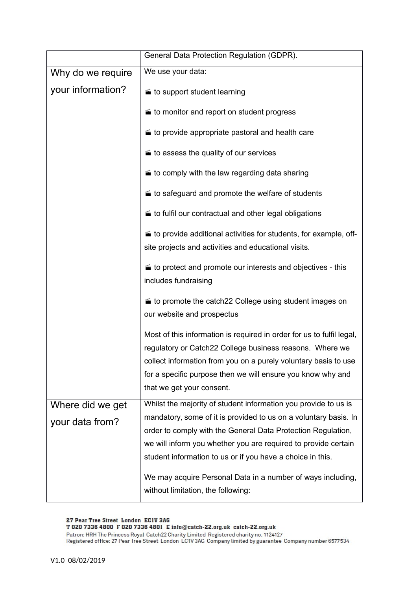|                   | General Data Protection Regulation (GDPR).                                                                                                                                                                                                                                                       |
|-------------------|--------------------------------------------------------------------------------------------------------------------------------------------------------------------------------------------------------------------------------------------------------------------------------------------------|
| Why do we require | We use your data:                                                                                                                                                                                                                                                                                |
| your information? | to support student learning                                                                                                                                                                                                                                                                      |
|                   | to monitor and report on student progress                                                                                                                                                                                                                                                        |
|                   | to provide appropriate pastoral and health care                                                                                                                                                                                                                                                  |
|                   | to assess the quality of our services                                                                                                                                                                                                                                                            |
|                   | to comply with the law regarding data sharing                                                                                                                                                                                                                                                    |
|                   | to safeguard and promote the welfare of students                                                                                                                                                                                                                                                 |
|                   | to fulfil our contractual and other legal obligations                                                                                                                                                                                                                                            |
|                   | to provide additional activities for students, for example, off-<br>site projects and activities and educational visits.                                                                                                                                                                         |
|                   | to protect and promote our interests and objectives - this<br>includes fundraising                                                                                                                                                                                                               |
|                   | to promote the catch22 College using student images on<br>our website and prospectus                                                                                                                                                                                                             |
|                   | Most of this information is required in order for us to fulfil legal,<br>regulatory or Catch22 College business reasons. Where we<br>collect information from you on a purely voluntary basis to use<br>for a specific purpose then we will ensure you know why and<br>that we get your consent. |
| Where did we get  | Whilst the majority of student information you provide to us is                                                                                                                                                                                                                                  |
| your data from?   | mandatory, some of it is provided to us on a voluntary basis. In                                                                                                                                                                                                                                 |
|                   | order to comply with the General Data Protection Regulation,                                                                                                                                                                                                                                     |
|                   | we will inform you whether you are required to provide certain                                                                                                                                                                                                                                   |
|                   | student information to us or if you have a choice in this.                                                                                                                                                                                                                                       |
|                   | We may acquire Personal Data in a number of ways including,                                                                                                                                                                                                                                      |
|                   | without limitation, the following:                                                                                                                                                                                                                                                               |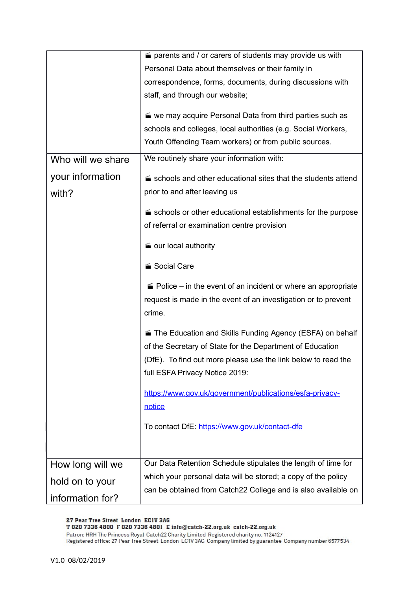|                           | $\equiv$ parents and / or carers of students may provide us with                                                                                                                         |
|---------------------------|------------------------------------------------------------------------------------------------------------------------------------------------------------------------------------------|
|                           | Personal Data about themselves or their family in                                                                                                                                        |
|                           | correspondence, forms, documents, during discussions with                                                                                                                                |
|                           | staff, and through our website;                                                                                                                                                          |
|                           | ■ we may acquire Personal Data from third parties such as<br>schools and colleges, local authorities (e.g. Social Workers,<br>Youth Offending Team workers) or from public sources.      |
| Who will we share         | We routinely share your information with:                                                                                                                                                |
| your information<br>with? | schools and other educational sites that the students attend<br>prior to and after leaving us                                                                                            |
|                           | schools or other educational establishments for the purpose<br>of referral or examination centre provision                                                                               |
|                           | our local authority                                                                                                                                                                      |
|                           | ■ Social Care                                                                                                                                                                            |
|                           | $\blacktriangleright$ Police – in the event of an incident or where an appropriate<br>request is made in the event of an investigation or to prevent<br>crime.                           |
|                           | ■ The Education and Skills Funding Agency (ESFA) on behalf<br>of the Secretary of State for the Department of Education<br>(DfE). To find out more please use the link below to read the |
|                           | full ESFA Privacy Notice 2019:                                                                                                                                                           |
|                           | https://www.gov.uk/government/publications/esfa-privacy-<br>notice                                                                                                                       |
|                           | To contact DfE: https://www.gov.uk/contact-dfe                                                                                                                                           |
|                           |                                                                                                                                                                                          |
| How long will we          | Our Data Retention Schedule stipulates the length of time for                                                                                                                            |
| hold on to your           | which your personal data will be stored; a copy of the policy                                                                                                                            |
| information for?          | can be obtained from Catch22 College and is also available on                                                                                                                            |

27 Pear Tree Street London ECIV 3AG<br>T 020 7336 4800 F 020 7336 4801 E info@catch-22.org.uk catch-22.org.uk<br>Patron: HRH The Princess Royal Catch22 Charity Limited Registered charity no. 1124127<br>Registered office: 27 Pear Tr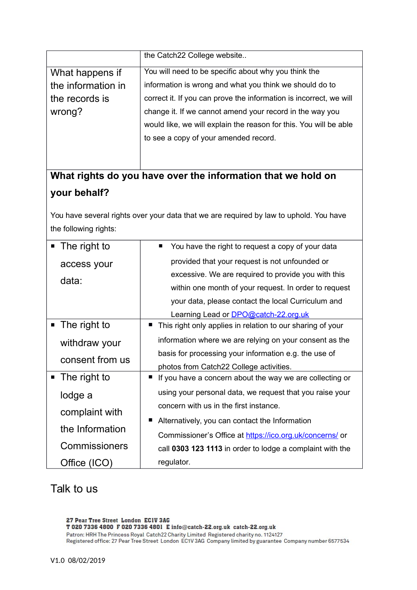|                                                                                        | the Catch22 College website                                        |  |
|----------------------------------------------------------------------------------------|--------------------------------------------------------------------|--|
| What happens if                                                                        | You will need to be specific about why you think the               |  |
| the information in                                                                     | information is wrong and what you think we should do to            |  |
| the records is                                                                         | correct it. If you can prove the information is incorrect, we will |  |
| wrong?                                                                                 | change it. If we cannot amend your record in the way you           |  |
|                                                                                        | would like, we will explain the reason for this. You will be able  |  |
|                                                                                        | to see a copy of your amended record.                              |  |
|                                                                                        |                                                                    |  |
|                                                                                        | What rights do you have over the information that we hold on       |  |
| your behalf?                                                                           |                                                                    |  |
| You have several rights over your data that we are required by law to uphold. You have |                                                                    |  |
| the following rights:                                                                  |                                                                    |  |
| The right to<br>ш                                                                      | You have the right to request a copy of your data<br>ш             |  |
| access your                                                                            | provided that your request is not unfounded or                     |  |
| data:                                                                                  | excessive. We are required to provide you with this                |  |
|                                                                                        | within one month of your request. In order to request              |  |
|                                                                                        | your data, please contact the local Curriculum and                 |  |
|                                                                                        | Learning Lead or <b>DPO@catch-22.org.uk</b>                        |  |
| The right to<br>$\blacksquare$                                                         | This right only applies in relation to our sharing of your<br>п    |  |
| withdraw your                                                                          | information where we are relying on your consent as the            |  |
| consent from us                                                                        | basis for processing your information e.g. the use of              |  |
|                                                                                        | photos from Catch22 College activities.                            |  |
| The right to                                                                           | If you have a concern about the way we are collecting or<br>п      |  |
| lodge a                                                                                | using your personal data, we request that you raise your           |  |
| complaint with                                                                         | concern with us in the first instance.                             |  |
| the Information                                                                        | Alternatively, you can contact the Information                     |  |
|                                                                                        | Commissioner's Office at https://ico.org.uk/concerns/ or           |  |
| Commissioners                                                                          | call 0303 123 1113 in order to lodge a complaint with the          |  |
| Office (ICO)                                                                           | regulator.                                                         |  |

# Talk to us

27 Pear Tree Street London ECIV 3AG<br>T 020 7336 4800 F 020 7336 4801 E info@catch-22.org.uk catch-22.org.uk<br>Patron: HRH The Princess Royal Catch22 Charity Limited Registered charity no. 1124127<br>Registered office: 27 Pear Tr